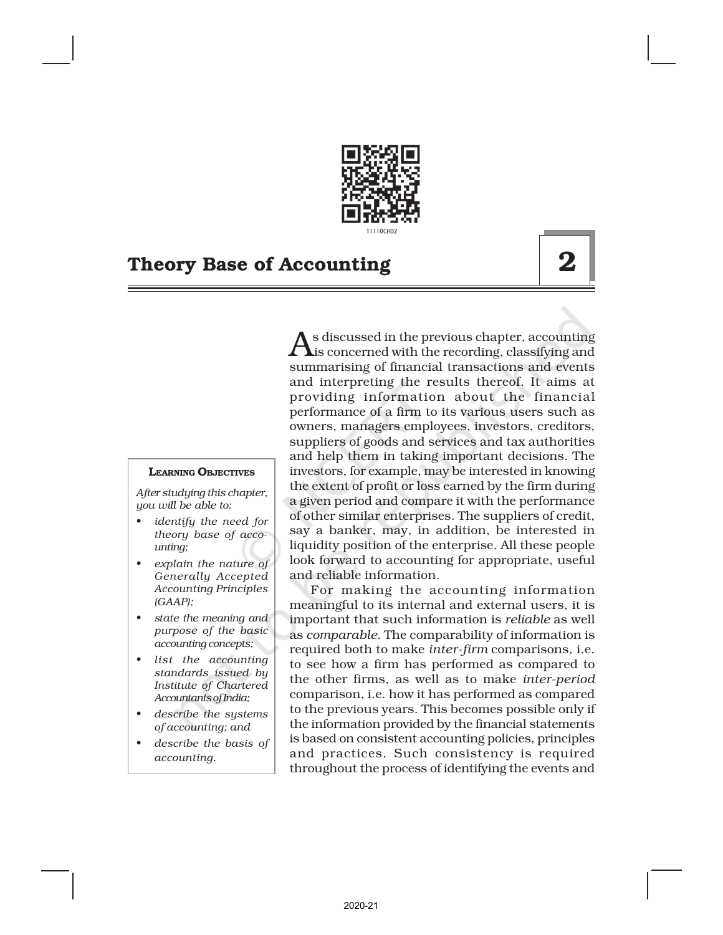

#### LEARNING OBJECTIVES

*After studying this chapter, you will be able to:*

- *• identify the need for theory base of accounting;*
- *• explain the nature of Generally Accepted Accounting Principles (GAAP);*
- *• state the meaning and purpose of the basic accounting concepts;*
- *• list the accounting standards issued by Institute of Chartered Accountants of India;*
- *• describe the systems of accounting; and*
- *• describe the basis of accounting.*

As discussed in the previous chapter, accounting<br>is concerned with the recording, classifying and s discussed in the previous chapter, accounting summarising of financial transactions and events and interpreting the results thereof. It aims at providing information about the financial performance of a firm to its various users such as owners, managers employees, investors, creditors, suppliers of goods and services and tax authorities and help them in taking important decisions. The investors, for example, may be interested in knowing the extent of profit or loss earned by the firm during a given period and compare it with the performance of other similar enterprises. The suppliers of credit, say a banker, may, in addition, be interested in liquidity position of the enterprise. All these people look forward to accounting for appropriate, useful and reliable information.

For making the accounting information meaningful to its internal and external users, it is important that such information is *reliable* as well as *comparable*. The comparability of information is required both to make *inter-firm* comparisons, i.e. to see how a firm has performed as compared to the other firms, as well as to make *inter-period* comparison, i.e. how it has performed as compared to the previous years. This becomes possible only if the information provided by the financial statements is based on consistent accounting policies, principles and practices. Such consistency is required throughout the process of identifying the events and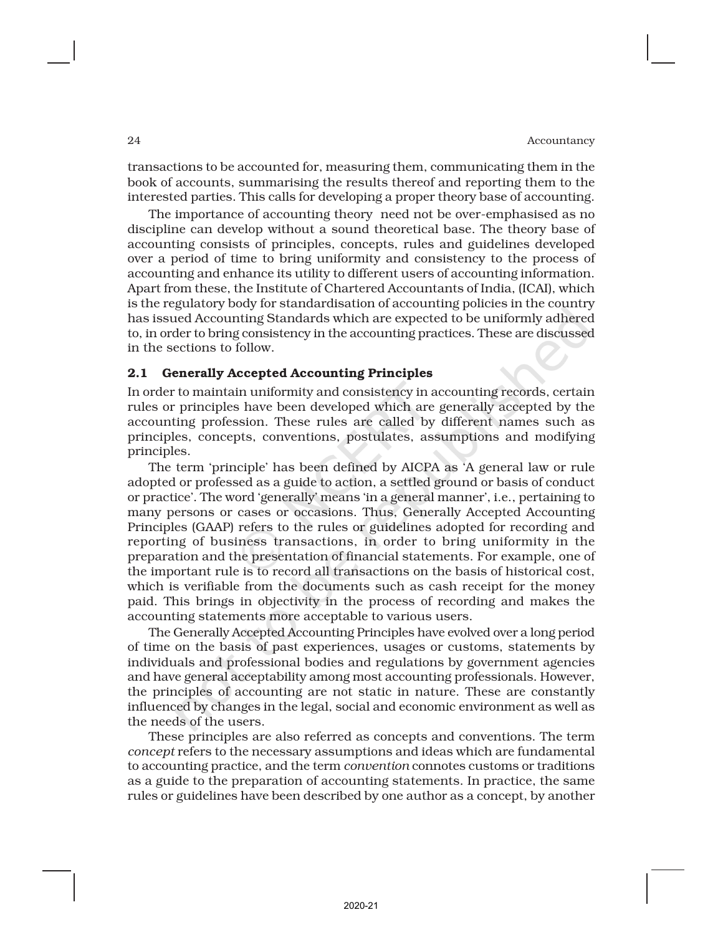transactions to be accounted for, measuring them, communicating them in the book of accounts, summarising the results thereof and reporting them to the interested parties. This calls for developing a proper theory base of accounting.

The importance of accounting theory need not be over-emphasised as no discipline can develop without a sound theoretical base. The theory base of accounting consists of principles, concepts, rules and guidelines developed over a period of time to bring uniformity and consistency to the process of accounting and enhance its utility to different users of accounting information. Apart from these, the Institute of Chartered Accountants of India, (ICAI), which is the regulatory body for standardisation of accounting policies in the country has issued Accounting Standards which are expected to be uniformly adhered to, in order to bring consistency in the accounting practices. These are discussed in the sections to follow.

#### 2.1 Generally Accepted Accounting Principles

In order to maintain uniformity and consistency in accounting records, certain rules or principles have been developed which are generally accepted by the accounting profession. These rules are called by different names such as principles, concepts, conventions, postulates, assumptions and modifying principles.

The term 'principle' has been defined by AICPA as 'A general law or rule adopted or professed as a guide to action, a settled ground or basis of conduct or practice'. The word 'generally' means 'in a general manner', i.e., pertaining to many persons or cases or occasions. Thus, Generally Accepted Accounting Principles (GAAP) refers to the rules or guidelines adopted for recording and reporting of business transactions, in order to bring uniformity in the preparation and the presentation of financial statements. For example, one of the important rule is to record all transactions on the basis of historical cost, which is verifiable from the documents such as cash receipt for the money paid. This brings in objectivity in the process of recording and makes the accounting statements more acceptable to various users.

The Generally Accepted Accounting Principles have evolved over a long period of time on the basis of past experiences, usages or customs, statements by individuals and professional bodies and regulations by government agencies and have general acceptability among most accounting professionals. However, the principles of accounting are not static in nature. These are constantly influenced by changes in the legal, social and economic environment as well as the needs of the users.

These principles are also referred as concepts and conventions. The term *concept* refers to the necessary assumptions and ideas which are fundamental to accounting practice, and the term *convention* connotes customs or traditions as a guide to the preparation of accounting statements. In practice, the same rules or guidelines have been described by one author as a concept, by another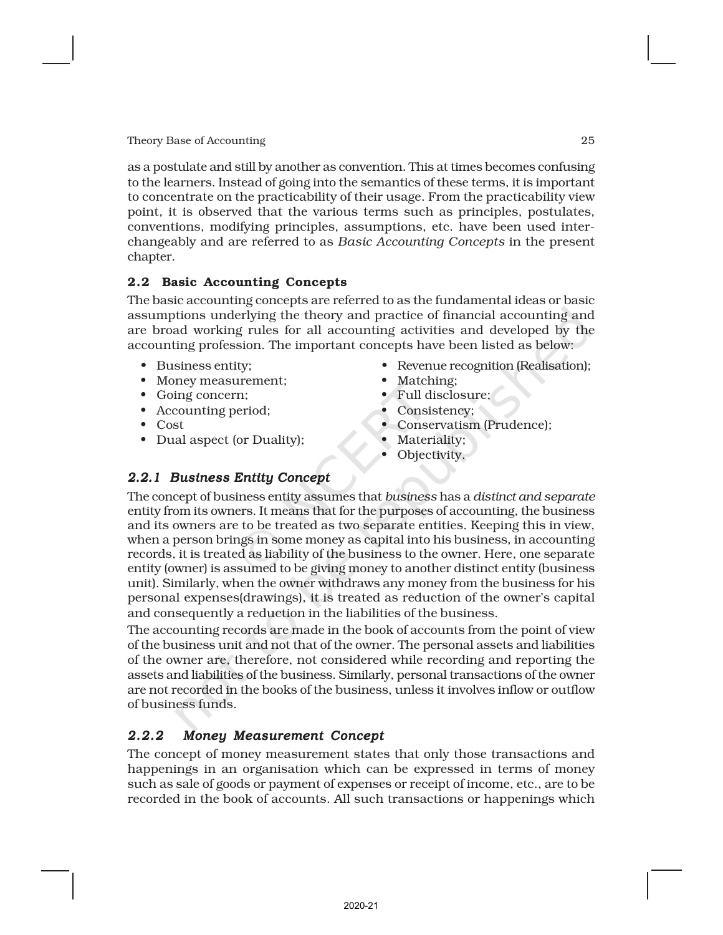as a postulate and still by another as convention. This at times becomes confusing to the learners. Instead of going into the semantics of these terms, it is important to concentrate on the practicability of their usage. From the practicability view point, it is observed that the various terms such as principles, postulates, conventions, modifying principles, assumptions, etc. have been used interchangeably and are referred to as *Basic Accounting Concepts* in the present chapter.

## 2.2 Basic Accounting Concepts

The basic accounting concepts are referred to as the fundamental ideas or basic assumptions underlying the theory and practice of financial accounting and are broad working rules for all accounting activities and developed by the accounting profession. The important concepts have been listed as below:

- Business entity;
- Money measurement;
- Going concern;
- Accounting period;
- Cost
- Dual aspect (or Duality);
- Revenue recognition (Realisation);
- Matching;
- Full disclosure;
- Consistency;
- Conservatism (Prudence);
- Materiality;
- Objectivity.

# *2.2.1 Business Entity Concept*

The concept of business entity assumes that *business* has a *distinct and separate* entity from its owners. It means that for the purposes of accounting, the business and its owners are to be treated as two separate entities. Keeping this in view, when a person brings in some money as capital into his business, in accounting records, it is treated as liability of the business to the owner. Here, one separate entity (owner) is assumed to be giving money to another distinct entity (business unit). Similarly, when the owner withdraws any money from the business for his personal expenses(drawings), it is treated as reduction of the owner's capital and consequently a reduction in the liabilities of the business.

The accounting records are made in the book of accounts from the point of view of the business unit and not that of the owner. The personal assets and liabilities of the owner are, therefore, not considered while recording and reporting the assets and liabilities of the business. Similarly, personal transactions of the owner are not recorded in the books of the business, unless it involves inflow or outflow of business funds.

# *2.2.2 Money Measurement Concept*

The concept of money measurement states that only those transactions and happenings in an organisation which can be expressed in terms of money such as sale of goods or payment of expenses or receipt of income, etc., are to be recorded in the book of accounts. All such transactions or happenings which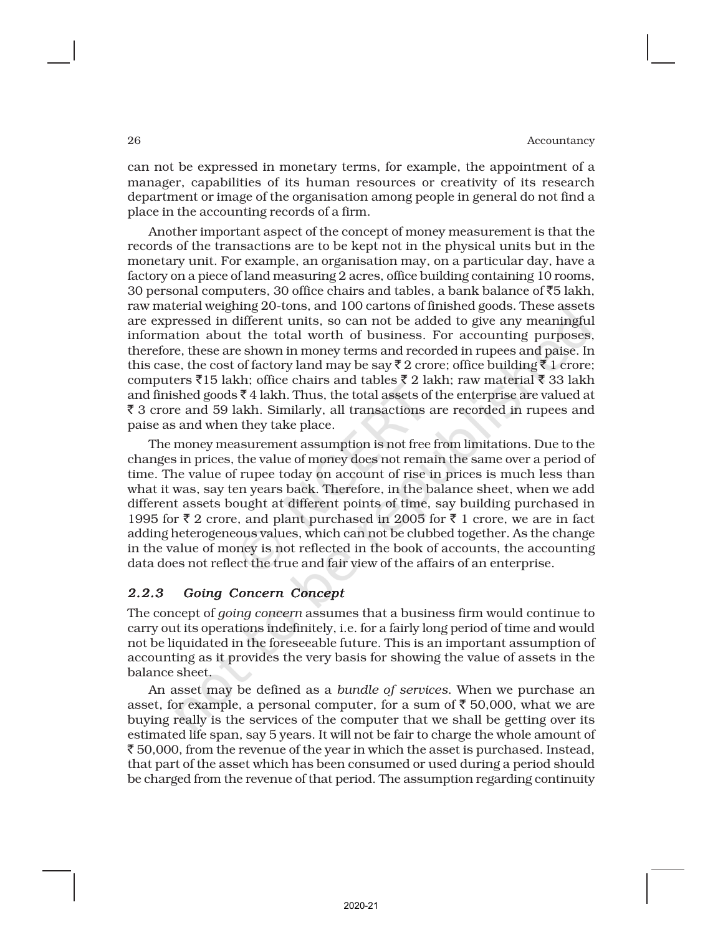can not be expressed in monetary terms, for example, the appointment of a manager, capabilities of its human resources or creativity of its research department or image of the organisation among people in general do not find a place in the accounting records of a firm.

Another important aspect of the concept of money measurement is that the records of the transactions are to be kept not in the physical units but in the monetary unit. For example, an organisation may, on a particular day, have a factory on a piece of land measuring 2 acres, office building containing 10 rooms, 30 personal computers, 30 office chairs and tables, a bank balance of  $\bar{z}5$  lakh, raw material weighing 20-tons, and 100 cartons of finished goods. These assets are expressed in different units, so can not be added to give any meaningful information about the total worth of business. For accounting purposes, therefore, these are shown in money terms and recorded in rupees and paise. In this case, the cost of factory land may be say  $\bar{\zeta}$  2 crore; office building  $\bar{\zeta}$  1 crore; computers  $\bar{\xi}$ 15 lakh; office chairs and tables  $\bar{\xi}$  2 lakh; raw material  $\bar{\xi}$  33 lakh and finished goods  $\bar{\tau}$  4 lakh. Thus, the total assets of the enterprise are valued at  $\bar{\xi}$  3 crore and 59 lakh. Similarly, all transactions are recorded in rupees and paise as and when they take place.

The money measurement assumption is not free from limitations. Due to the changes in prices, the value of money does not remain the same over a period of time. The value of rupee today on account of rise in prices is much less than what it was, say ten years back. Therefore, in the balance sheet, when we add different assets bought at different points of time, say building purchased in 1995 for  $\bar{\tau}$  2 crore, and plant purchased in 2005 for  $\bar{\tau}$  1 crore, we are in fact adding heterogeneous values, which can not be clubbed together. As the change in the value of money is not reflected in the book of accounts, the accounting data does not reflect the true and fair view of the affairs of an enterprise.

#### *2.2.3 Going Concern Concept*

The concept of *going concern* assumes that a business firm would continue to carry out its operations indefinitely, i.e. for a fairly long period of time and would not be liquidated in the foreseeable future. This is an important assumption of accounting as it provides the very basis for showing the value of assets in the balance sheet.

An asset may be defined as a *bundle of services*. When we purchase an asset, for example, a personal computer, for a sum of  $\bar{\tau}$  50,000, what we are buying really is the services of the computer that we shall be getting over its estimated life span, say 5 years. It will not be fair to charge the whole amount of  $\bar{\xi}$  50,000, from the revenue of the year in which the asset is purchased. Instead, that part of the asset which has been consumed or used during a period should be charged from the revenue of that period. The assumption regarding continuity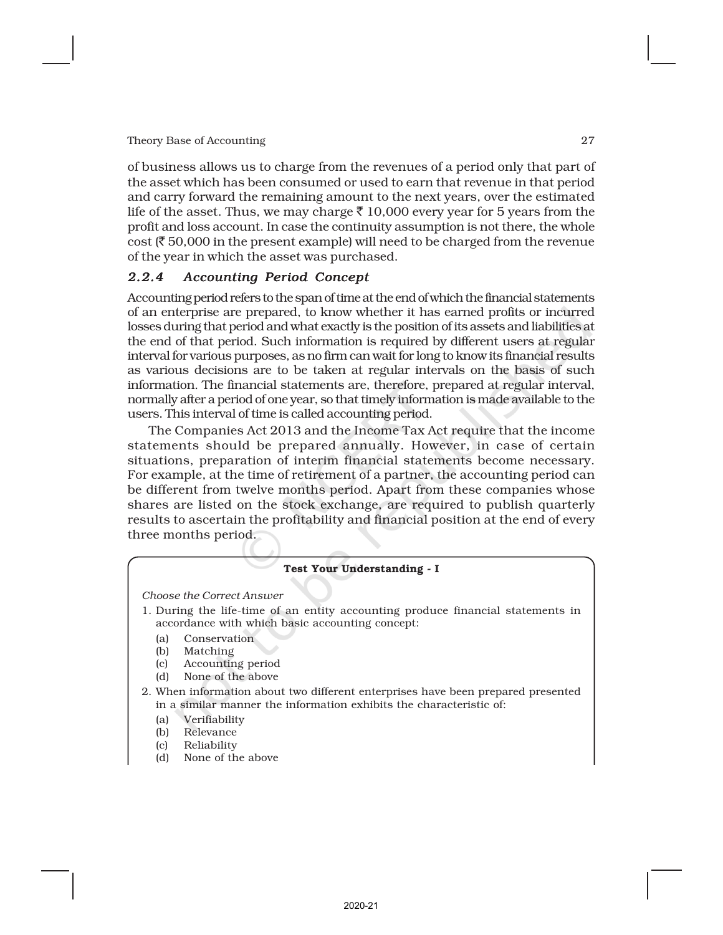of business allows us to charge from the revenues of a period only that part of the asset which has been consumed or used to earn that revenue in that period and carry forward the remaining amount to the next years, over the estimated life of the asset. Thus, we may charge  $\bar{\tau}$  10,000 every year for 5 years from the profit and loss account. In case the continuity assumption is not there, the whole cost ( $\bar{\tau}$  50,000 in the present example) will need to be charged from the revenue of the year in which the asset was purchased.

## *2.2.4 Accounting Period Concept*

Accounting period refers to the span of time at the end of which the financial statements of an enterprise are prepared, to know whether it has earned profits or incurred losses during that period and what exactly is the position of its assets and liabilities at the end of that period. Such information is required by different users at regular interval for various purposes, as no firm can wait for long to know its financial results as various decisions are to be taken at regular intervals on the basis of such information. The financial statements are, therefore, prepared at regular interval, normally after a period of one year, so that timely information is made available to the users. This interval of time is called accounting period.

The Companies Act 2013 and the Income Tax Act require that the income statements should be prepared annually. However, in case of certain situations, preparation of interim financial statements become necessary. For example, at the time of retirement of a partner, the accounting period can be different from twelve months period. Apart from these companies whose shares are listed on the stock exchange, are required to publish quarterly results to ascertain the profitability and financial position at the end of every three months period.

#### Test Your Understanding - I

*Choose the Correct Answer*

- 1. During the life-time of an entity accounting produce financial statements in accordance with which basic accounting concept:
	- (a) Conservation
	- (b) Matching
	- (c) Accounting period
	- (d) None of the above
- 2. When information about two different enterprises have been prepared presented in a similar manner the information exhibits the characteristic of:
	- (a) Verifiability
	- (b) Relevance
	- (c) Reliability
	- (d) None of the above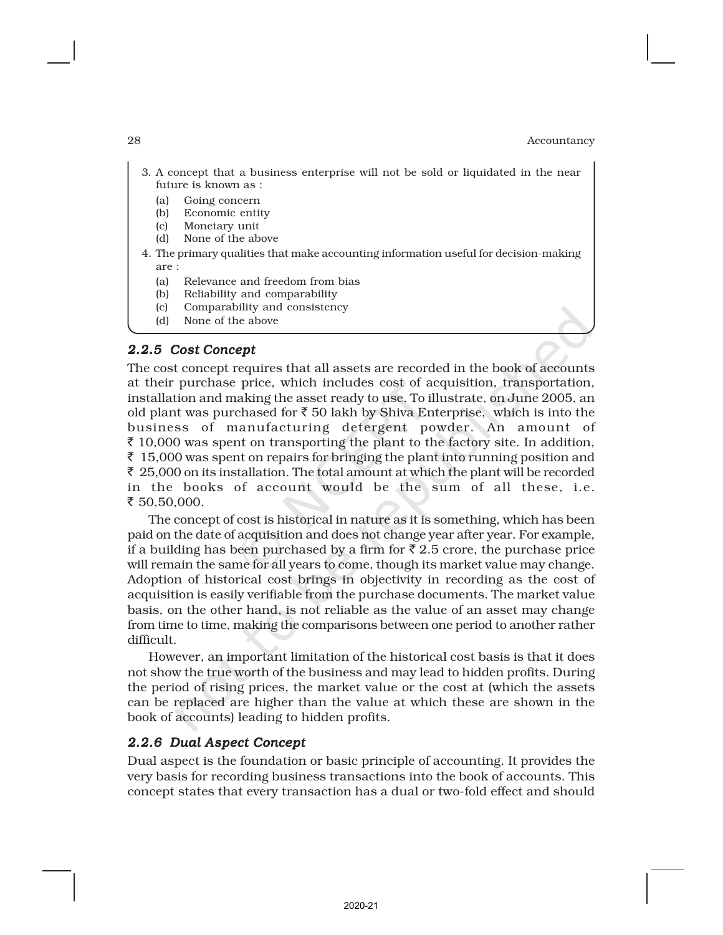- 3. A concept that a business enterprise will not be sold or liquidated in the near future is known as :
	- (a) Going concern
	- (b) Economic entity
	- (c) Monetary unit
	- (d) None of the above
- 4. The primary qualities that make accounting information useful for decision-making are :
	- (a) Relevance and freedom from bias
	- (b) Reliability and comparability
	- (c) Comparability and consistency
	- (d) None of the above

#### *2.2.5 Cost Concept*

The cost concept requires that all assets are recorded in the book of accounts at their purchase price, which includes cost of acquisition, transportation, installation and making the asset ready to use. To illustrate, on June 2005, an old plant was purchased for  $\bar{\tau}$  50 lakh by Shiva Enterprise, which is into the business of manufacturing detergent powder. An amount of  $\bar{\tau}$  10,000 was spent on transporting the plant to the factory site. In addition,  $\bar{\xi}$  15,000 was spent on repairs for bringing the plant into running position and  $\bar{\xi}$  25,000 on its installation. The total amount at which the plant will be recorded in the books of account would be the sum of all these, i.e. ₹ 50,50,000.

The concept of cost is historical in nature as it is something, which has been paid on the date of acquisition and does not change year after year. For example, if a building has been purchased by a firm for  $\bar{\tau}$  2.5 crore, the purchase price will remain the same for all years to come, though its market value may change. Adoption of historical cost brings in objectivity in recording as the cost of acquisition is easily verifiable from the purchase documents. The market value basis, on the other hand, is not reliable as the value of an asset may change from time to time, making the comparisons between one period to another rather difficult.

However, an important limitation of the historical cost basis is that it does not show the true worth of the business and may lead to hidden profits. During the period of rising prices, the market value or the cost at (which the assets can be replaced are higher than the value at which these are shown in the book of accounts) leading to hidden profits.

## *2.2.6 Dual Aspect Concept*

Dual aspect is the foundation or basic principle of accounting. It provides the very basis for recording business transactions into the book of accounts. This concept states that every transaction has a dual or two-fold effect and should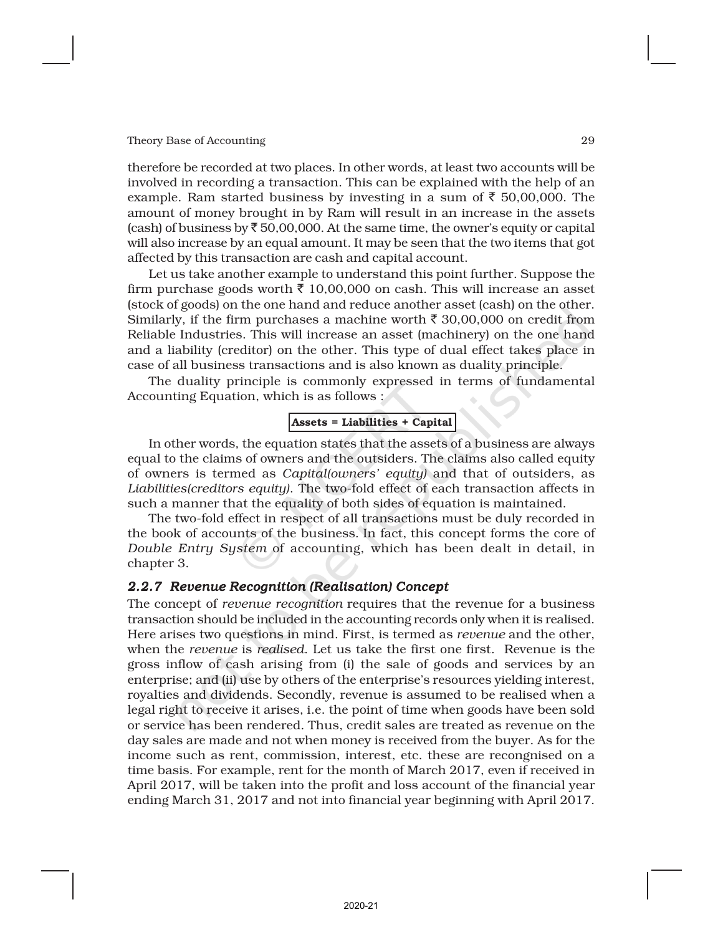therefore be recorded at two places. In other words, at least two accounts will be involved in recording a transaction. This can be explained with the help of an example. Ram started business by investing in a sum of  $\bar{\tau}$  50,00,000. The amount of money brought in by Ram will result in an increase in the assets (cash) of business by  $\bar{\tau}$  50,00,000. At the same time, the owner's equity or capital will also increase by an equal amount. It may be seen that the two items that got affected by this transaction are cash and capital account.

Let us take another example to understand this point further. Suppose the firm purchase goods worth  $\bar{\tau}$  10,00,000 on cash. This will increase an asset (stock of goods) on the one hand and reduce another asset (cash) on the other. Similarly, if the firm purchases a machine worth  $\bar{\tau}$  30,00,000 on credit from Reliable Industries. This will increase an asset (machinery) on the one hand and a liability (creditor) on the other. This type of dual effect takes place in case of all business transactions and is also known as duality principle.

The duality principle is commonly expressed in terms of fundamental Accounting Equation, which is as follows :

## Assets = Liabilities + Capital

In other words, the equation states that the assets of a business are always equal to the claims of owners and the outsiders. The claims also called equity of owners is termed as *Capital(owners' equity)* and that of outsiders, as *Liabilities(creditors equity)*. The two-fold effect of each transaction affects in such a manner that the equality of both sides of equation is maintained.

The two-fold effect in respect of all transactions must be duly recorded in the book of accounts of the business. In fact, this concept forms the core of *Double Entry System* of accounting, which has been dealt in detail, in chapter 3.

#### *2.2.7 Revenue Recognition (Realisation) Concept*

The concept of *revenue recognition* requires that the revenue for a business transaction should be included in the accounting records only when it is realised. Here arises two questions in mind. First, is termed as *revenue* and the other, when the *revenue* is *realised*. Let us take the first one first. Revenue is the gross inflow of cash arising from (i) the sale of goods and services by an enterprise; and (ii) use by others of the enterprise's resources yielding interest, royalties and dividends. Secondly, revenue is assumed to be realised when a legal right to receive it arises, i.e. the point of time when goods have been sold or service has been rendered. Thus, credit sales are treated as revenue on the day sales are made and not when money is received from the buyer. As for the income such as rent, commission, interest, etc. these are recongnised on a time basis. For example, rent for the month of March 2017, even if received in April 2017, will be taken into the profit and loss account of the financial year ending March 31, 2017 and not into financial year beginning with April 2017.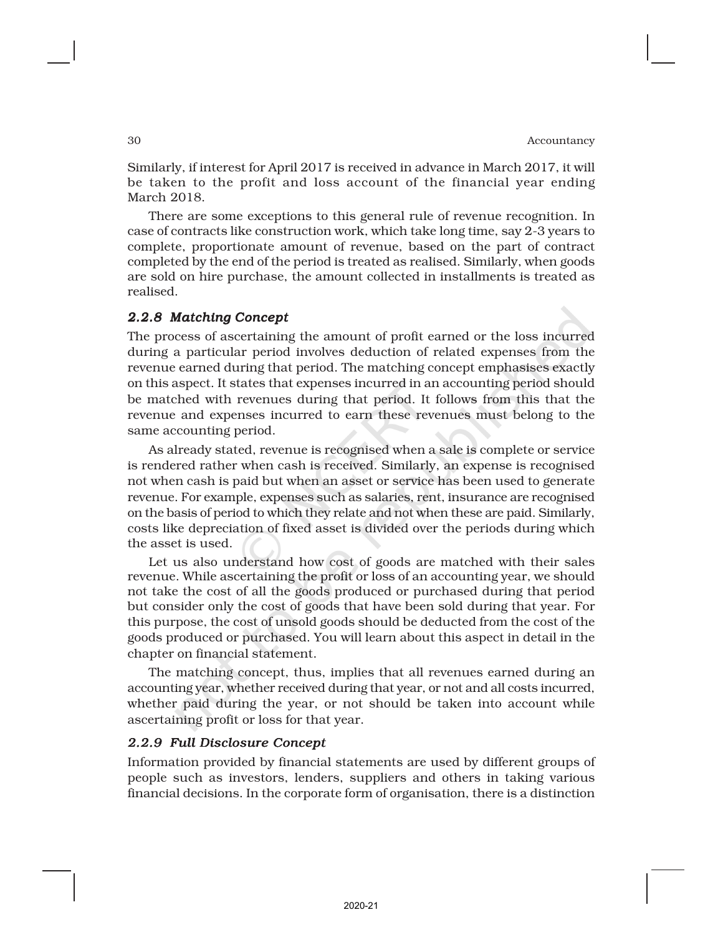Similarly, if interest for April 2017 is received in advance in March 2017, it will be taken to the profit and loss account of the financial year ending March 2018.

There are some exceptions to this general rule of revenue recognition. In case of contracts like construction work, which take long time, say 2-3 years to complete, proportionate amount of revenue, based on the part of contract completed by the end of the period is treated as realised. Similarly, when goods are sold on hire purchase, the amount collected in installments is treated as realised.

#### *2.2.8 Matching Concept*

The process of ascertaining the amount of profit earned or the loss incurred during a particular period involves deduction of related expenses from the revenue earned during that period. The matching concept emphasises exactly on this aspect. It states that expenses incurred in an accounting period should be matched with revenues during that period. It follows from this that the revenue and expenses incurred to earn these revenues must belong to the same accounting period.

As already stated, revenue is recognised when a sale is complete or service is rendered rather when cash is received. Similarly, an expense is recognised not when cash is paid but when an asset or service has been used to generate revenue. For example, expenses such as salaries, rent, insurance are recognised on the basis of period to which they relate and not when these are paid. Similarly, costs like depreciation of fixed asset is divided over the periods during which the asset is used.

Let us also understand how cost of goods are matched with their sales revenue. While ascertaining the profit or loss of an accounting year, we should not take the cost of all the goods produced or purchased during that period but consider only the cost of goods that have been sold during that year. For this purpose, the cost of unsold goods should be deducted from the cost of the goods produced or purchased. You will learn about this aspect in detail in the chapter on financial statement.

The matching concept, thus, implies that all revenues earned during an accounting year, whether received during that year, or not and all costs incurred, whether paid during the year, or not should be taken into account while ascertaining profit or loss for that year.

#### *2.2.9 Full Disclosure Concept*

Information provided by financial statements are used by different groups of people such as investors, lenders, suppliers and others in taking various financial decisions. In the corporate form of organisation, there is a distinction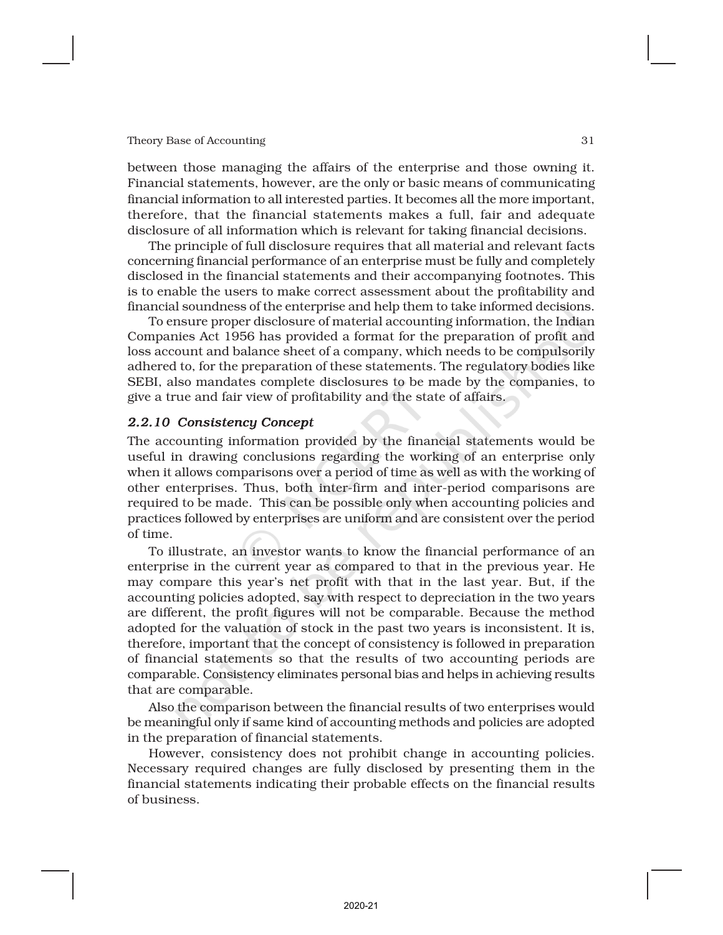between those managing the affairs of the enterprise and those owning it. Financial statements, however, are the only or basic means of communicating financial information to all interested parties. It becomes all the more important, therefore, that the financial statements makes a full, fair and adequate disclosure of all information which is relevant for taking financial decisions.

The principle of full disclosure requires that all material and relevant facts concerning financial performance of an enterprise must be fully and completely disclosed in the financial statements and their accompanying footnotes. This is to enable the users to make correct assessment about the profitability and financial soundness of the enterprise and help them to take informed decisions.

To ensure proper disclosure of material accounting information, the Indian Companies Act 1956 has provided a format for the preparation of profit and loss account and balance sheet of a company, which needs to be compulsorily adhered to, for the preparation of these statements. The regulatory bodies like SEBI, also mandates complete disclosures to be made by the companies, to give a true and fair view of profitability and the state of affairs.

#### *2.2.10 Consistency Concept*

The accounting information provided by the financial statements would be useful in drawing conclusions regarding the working of an enterprise only when it allows comparisons over a period of time as well as with the working of other enterprises. Thus, both inter-firm and inter-period comparisons are required to be made. This can be possible only when accounting policies and practices followed by enterprises are uniform and are consistent over the period of time.

To illustrate, an investor wants to know the financial performance of an enterprise in the current year as compared to that in the previous year. He may compare this year's net profit with that in the last year. But, if the accounting policies adopted, say with respect to depreciation in the two years are different, the profit figures will not be comparable. Because the method adopted for the valuation of stock in the past two years is inconsistent. It is, therefore, important that the concept of consistency is followed in preparation of financial statements so that the results of two accounting periods are comparable. Consistency eliminates personal bias and helps in achieving results that are comparable.

Also the comparison between the financial results of two enterprises would be meaningful only if same kind of accounting methods and policies are adopted in the preparation of financial statements.

However, consistency does not prohibit change in accounting policies. Necessary required changes are fully disclosed by presenting them in the financial statements indicating their probable effects on the financial results of business.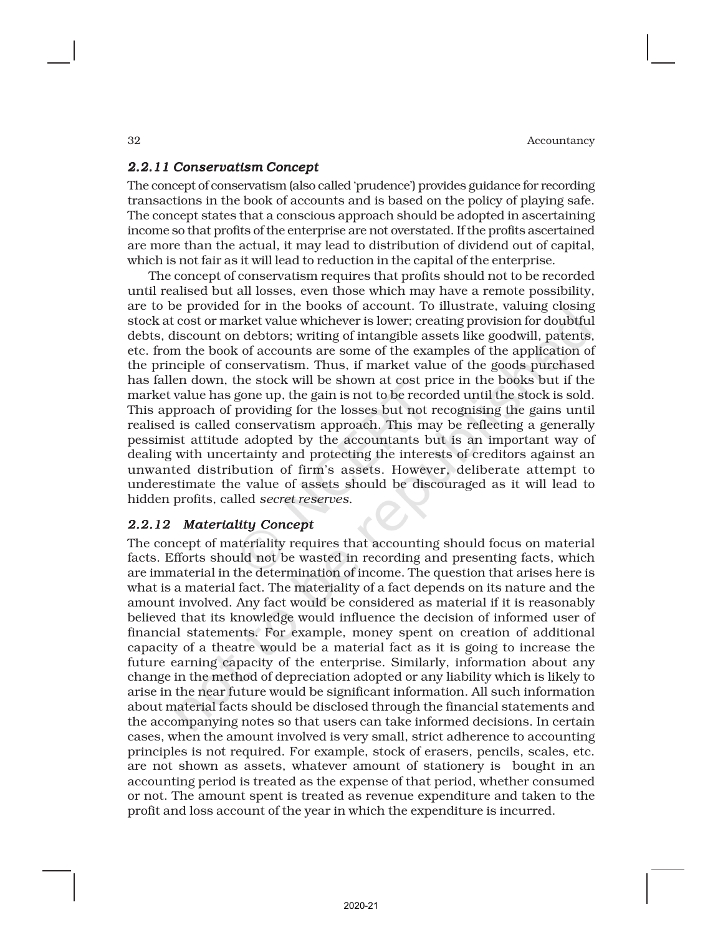## *2.2.11 Conservatism Concept*

The concept of conservatism (also called 'prudence') provides guidance for recording transactions in the book of accounts and is based on the policy of playing safe. The concept states that a conscious approach should be adopted in ascertaining income so that profits of the enterprise are not overstated. If the profits ascertained are more than the actual, it may lead to distribution of dividend out of capital, which is not fair as it will lead to reduction in the capital of the enterprise.

The concept of conservatism requires that profits should not to be recorded until realised but all losses, even those which may have a remote possibility, are to be provided for in the books of account. To illustrate, valuing closing stock at cost or market value whichever is lower; creating provision for doubtful debts, discount on debtors; writing of intangible assets like goodwill, patents, etc. from the book of accounts are some of the examples of the application of the principle of conservatism. Thus, if market value of the goods purchased has fallen down, the stock will be shown at cost price in the books but if the market value has gone up, the gain is not to be recorded until the stock is sold. This approach of providing for the losses but not recognising the gains until realised is called conservatism approach. This may be reflecting a generally pessimist attitude adopted by the accountants but is an important way of dealing with uncertainty and protecting the interests of creditors against an unwanted distribution of firm's assets. However, deliberate attempt to underestimate the value of assets should be discouraged as it will lead to hidden profits, called *secret reserves*.

## *2.2.12 Materiality Concept*

The concept of materiality requires that accounting should focus on material facts. Efforts should not be wasted in recording and presenting facts, which are immaterial in the determination of income. The question that arises here is what is a material fact. The materiality of a fact depends on its nature and the amount involved. Any fact would be considered as material if it is reasonably believed that its knowledge would influence the decision of informed user of financial statements. For example, money spent on creation of additional capacity of a theatre would be a material fact as it is going to increase the future earning capacity of the enterprise. Similarly, information about any change in the method of depreciation adopted or any liability which is likely to arise in the near future would be significant information. All such information about material facts should be disclosed through the financial statements and the accompanying notes so that users can take informed decisions. In certain cases, when the amount involved is very small, strict adherence to accounting principles is not required. For example, stock of erasers, pencils, scales, etc. are not shown as assets, whatever amount of stationery is bought in an accounting period is treated as the expense of that period, whether consumed or not. The amount spent is treated as revenue expenditure and taken to the profit and loss account of the year in which the expenditure is incurred.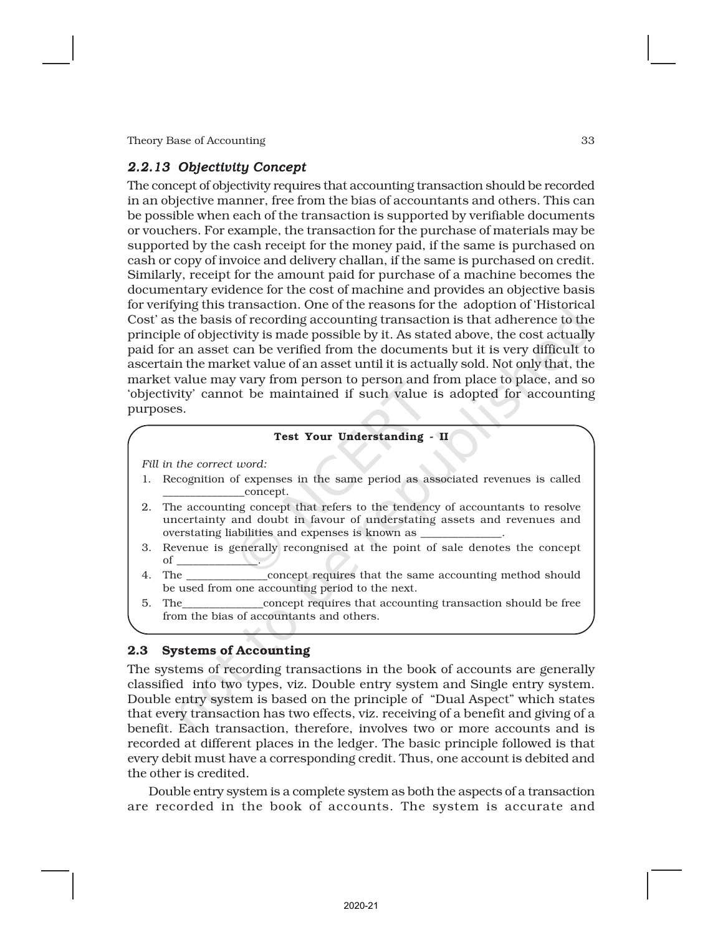## *2.2.13 Objectivity Concept*

The concept of objectivity requires that accounting transaction should be recorded in an objective manner, free from the bias of accountants and others. This can be possible when each of the transaction is supported by verifiable documents or vouchers. For example, the transaction for the purchase of materials may be supported by the cash receipt for the money paid, if the same is purchased on cash or copy of invoice and delivery challan, if the same is purchased on credit. Similarly, receipt for the amount paid for purchase of a machine becomes the documentary evidence for the cost of machine and provides an objective basis for verifying this transaction. One of the reasons for the adoption of 'Historical Cost' as the basis of recording accounting transaction is that adherence to the principle of objectivity is made possible by it. As stated above, the cost actually paid for an asset can be verified from the documents but it is very difficult to ascertain the market value of an asset until it is actually sold. Not only that, the market value may vary from person to person and from place to place, and so 'objectivity' cannot be maintained if such value is adopted for accounting purposes.

#### Test Your Understanding - II

*Fill in the correct word:*

- 1. Recognition of expenses in the same period as associated revenues is called \_\_\_\_\_\_\_\_\_\_\_\_\_\_\_concept.
- 2. The accounting concept that refers to the tendency of accountants to resolve uncertainty and doubt in favour of understating assets and revenues and overstating liabilities and expenses is known as
- 3. Revenue is generally recongnised at the point of sale denotes the concept  $\circ$ f
- 4. The \_\_\_\_\_\_\_\_\_\_\_\_\_\_\_concept requires that the same accounting method should be used from one accounting period to the next.
- 5. The\_\_\_\_\_\_\_\_\_\_\_\_\_\_\_concept requires that accounting transaction should be free from the bias of accountants and others.

#### 2.3 Systems of Accounting

The systems of recording transactions in the book of accounts are generally classified into two types, viz. Double entry system and Single entry system. Double entry system is based on the principle of "Dual Aspect" which states that every transaction has two effects, viz. receiving of a benefit and giving of a benefit. Each transaction, therefore, involves two or more accounts and is recorded at different places in the ledger. The basic principle followed is that every debit must have a corresponding credit. Thus, one account is debited and the other is credited.

Double entry system is a complete system as both the aspects of a transaction are recorded in the book of accounts. The system is accurate and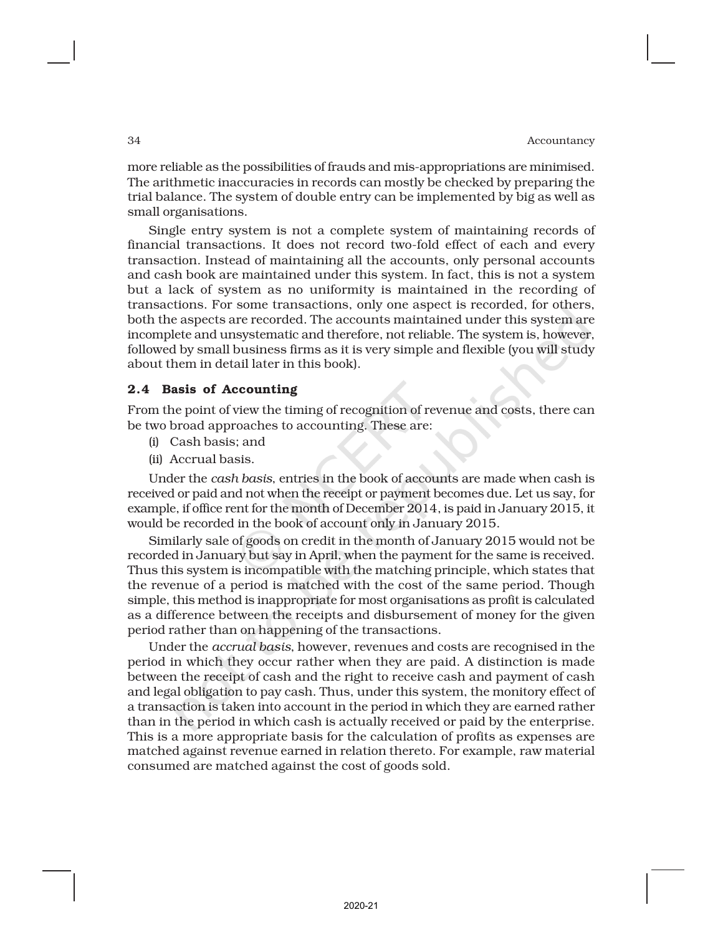more reliable as the possibilities of frauds and mis-appropriations are minimised. The arithmetic inaccuracies in records can mostly be checked by preparing the trial balance. The system of double entry can be implemented by big as well as small organisations.

Single entry system is not a complete system of maintaining records of financial transactions. It does not record two-fold effect of each and every transaction. Instead of maintaining all the accounts, only personal accounts and cash book are maintained under this system. In fact, this is not a system but a lack of system as no uniformity is maintained in the recording of transactions. For some transactions, only one aspect is recorded, for others, both the aspects are recorded. The accounts maintained under this system are incomplete and unsystematic and therefore, not reliable. The system is, however, followed by small business firms as it is very simple and flexible (you will study about them in detail later in this book).

## 2.4 Basis of Accounting

From the point of view the timing of recognition of revenue and costs, there can be two broad approaches to accounting. These are:

- (i) Cash basis; and
- (ii) Accrual basis.

Under the *cash basis*, entries in the book of accounts are made when cash is received or paid and not when the receipt or payment becomes due. Let us say, for example, if office rent for the month of December 2014, is paid in January 2015, it would be recorded in the book of account only in January 2015.

Similarly sale of goods on credit in the month of January 2015 would not be recorded in January but say in April, when the payment for the same is received. Thus this system is incompatible with the matching principle, which states that the revenue of a period is matched with the cost of the same period. Though simple, this method is inappropriate for most organisations as profit is calculated as a difference between the receipts and disbursement of money for the given period rather than on happening of the transactions.

Under the *accrual basis*, however, revenues and costs are recognised in the period in which they occur rather when they are paid. A distinction is made between the receipt of cash and the right to receive cash and payment of cash and legal obligation to pay cash. Thus, under this system, the monitory effect of a transaction is taken into account in the period in which they are earned rather than in the period in which cash is actually received or paid by the enterprise. This is a more appropriate basis for the calculation of profits as expenses are matched against revenue earned in relation thereto. For example, raw material consumed are matched against the cost of goods sold.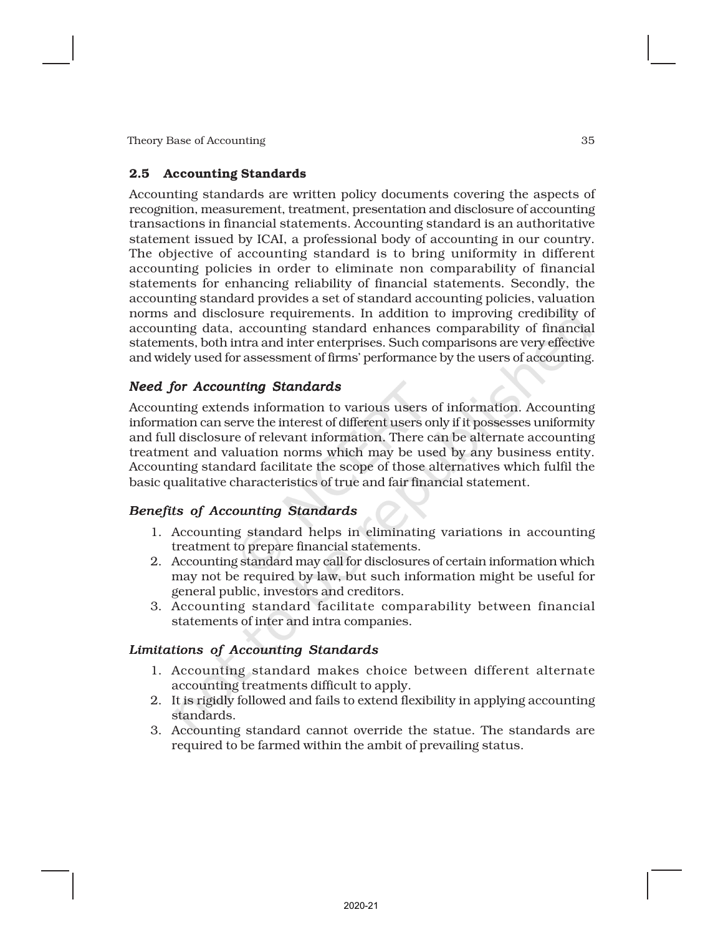#### 2.5 Accounting Standards

Accounting standards are written policy documents covering the aspects of recognition, measurement, treatment, presentation and disclosure of accounting transactions in financial statements. Accounting standard is an authoritative statement issued by ICAI, a professional body of accounting in our country. The objective of accounting standard is to bring uniformity in different accounting policies in order to eliminate non comparability of financial statements for enhancing reliability of financial statements. Secondly, the accounting standard provides a set of standard accounting policies, valuation norms and disclosure requirements. In addition to improving credibility of accounting data, accounting standard enhances comparability of financial statements, both intra and inter enterprises. Such comparisons are very effective and widely used for assessment of firms' performance by the users of accounting.

## *Need for Accounting Standards*

Accounting extends information to various users of information. Accounting information can serve the interest of different users only if it possesses uniformity and full disclosure of relevant information. There can be alternate accounting treatment and valuation norms which may be used by any business entity. Accounting standard facilitate the scope of those alternatives which fulfil the basic qualitative characteristics of true and fair financial statement.

## *Benefits of Accounting Standards*

- 1. Accounting standard helps in eliminating variations in accounting treatment to prepare financial statements.
- 2. Accounting standard may call for disclosures of certain information which may not be required by law, but such information might be useful for general public, investors and creditors.
- 3. Accounting standard facilitate comparability between financial statements of inter and intra companies.

## *Limitations of Accounting Standards*

- 1. Accounting standard makes choice between different alternate accounting treatments difficult to apply.
- 2. It is rigidly followed and fails to extend flexibility in applying accounting standards.
- 3. Accounting standard cannot override the statue. The standards are required to be farmed within the ambit of prevailing status.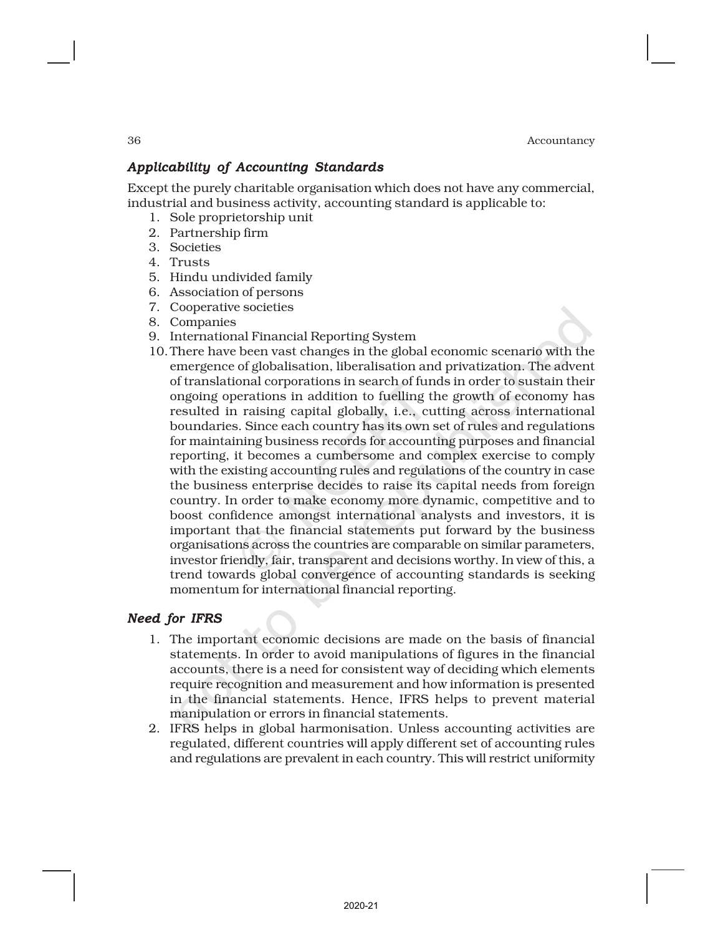## *Applicability of Accounting Standards*

Except the purely charitable organisation which does not have any commercial, industrial and business activity, accounting standard is applicable to:

- 1. Sole proprietorship unit
- 2. Partnership firm
- 3. Societies
- 4. Trusts
- 5. Hindu undivided family
- 6. Association of persons
- 7. Cooperative societies
- 8. Companies
- 9. International Financial Reporting System
- 10.There have been vast changes in the global economic scenario with the emergence of globalisation, liberalisation and privatization. The advent of translational corporations in search of funds in order to sustain their ongoing operations in addition to fuelling the growth of economy has resulted in raising capital globally, i.e., cutting across international boundaries. Since each country has its own set of rules and regulations for maintaining business records for accounting purposes and financial reporting, it becomes a cumbersome and complex exercise to comply with the existing accounting rules and regulations of the country in case the business enterprise decides to raise its capital needs from foreign country. In order to make economy more dynamic, competitive and to boost confidence amongst international analysts and investors, it is important that the financial statements put forward by the business organisations across the countries are comparable on similar parameters, investor friendly, fair, transparent and decisions worthy. In view of this, a trend towards global convergence of accounting standards is seeking momentum for international financial reporting.

## *Need for IFRS*

- 1. The important economic decisions are made on the basis of financial statements. In order to avoid manipulations of figures in the financial accounts, there is a need for consistent way of deciding which elements require recognition and measurement and how information is presented in the financial statements. Hence, IFRS helps to prevent material manipulation or errors in financial statements.
- 2. IFRS helps in global harmonisation. Unless accounting activities are regulated, different countries will apply different set of accounting rules and regulations are prevalent in each country. This will restrict uniformity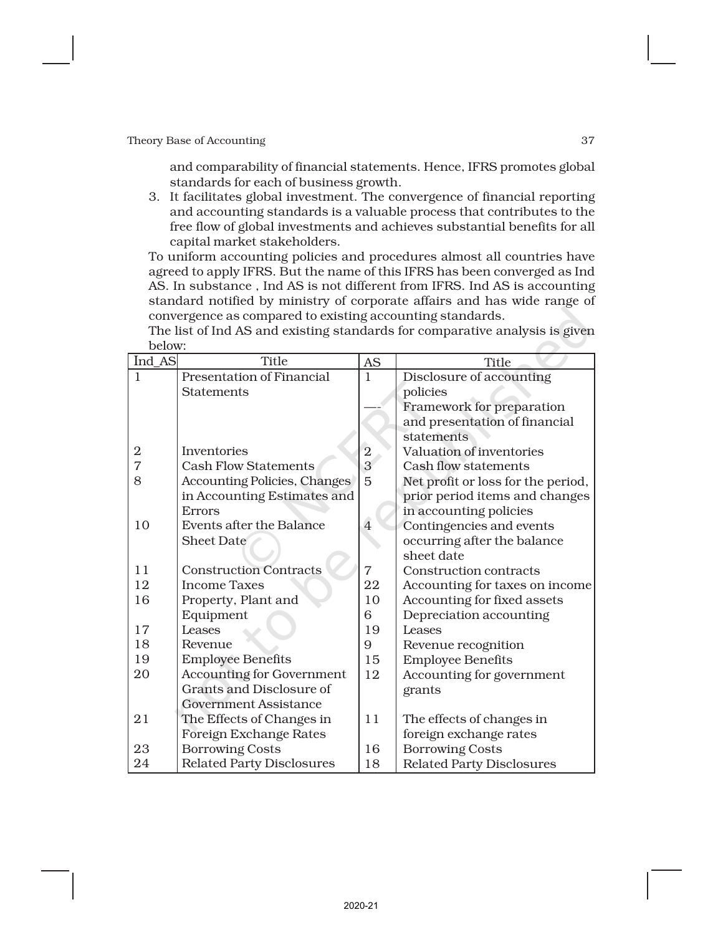and comparability of financial statements. Hence, IFRS promotes global standards for each of business growth.

3. It facilitates global investment. The convergence of financial reporting and accounting standards is a valuable process that contributes to the free flow of global investments and achieves substantial benefits for all capital market stakeholders.

To uniform accounting policies and procedures almost all countries have agreed to apply IFRS. But the name of this IFRS has been converged as Ind AS. In substance , Ind AS is not different from IFRS. Ind AS is accounting standard notified by ministry of corporate affairs and has wide range of convergence as compared to existing accounting standards.

The list of Ind AS and existing standards for comparative analysis is given below:

| Ind AS | <b>Title</b>                        | <b>AS</b>      | Title                              |
|--------|-------------------------------------|----------------|------------------------------------|
| 1      | <b>Presentation of Financial</b>    | $\mathbf{1}$   | Disclosure of accounting           |
|        | <b>Statements</b>                   |                | policies                           |
|        |                                     |                | Framework for preparation          |
|        |                                     |                | and presentation of financial      |
|        |                                     |                | statements                         |
| 2      | Inventories                         | $\overline{2}$ | Valuation of inventories           |
| 7      | <b>Cash Flow Statements</b>         | 3              | Cash flow statements               |
| 8      | <b>Accounting Policies, Changes</b> | 5              | Net profit or loss for the period, |
|        | in Accounting Estimates and         |                | prior period items and changes     |
|        | Errors                              |                | in accounting policies             |
| 10     | <b>Events after the Balance</b>     | $\overline{4}$ | Contingencies and events           |
|        | <b>Sheet Date</b>                   |                | occurring after the balance        |
|        |                                     |                | sheet date                         |
| 11     | <b>Construction Contracts</b>       | $\overline{7}$ | Construction contracts             |
| 12     | <b>Income Taxes</b>                 | 22             | Accounting for taxes on income     |
| 16     | Property, Plant and                 | 10             | Accounting for fixed assets        |
|        | Equipment                           | 6              | Depreciation accounting            |
| 17     | Leases                              | 19             | Leases                             |
| 18     | Revenue                             | 9              | Revenue recognition                |
| 19     | <b>Employee Benefits</b>            | 15             | <b>Employee Benefits</b>           |
| 20     | <b>Accounting for Government</b>    | 12             | Accounting for government          |
|        | Grants and Disclosure of            |                | grants                             |
|        | <b>Government Assistance</b>        |                |                                    |
| 21     | The Effects of Changes in           | 11             | The effects of changes in          |
|        | <b>Foreign Exchange Rates</b>       |                | foreign exchange rates             |
| 23     | <b>Borrowing Costs</b>              | 16             | <b>Borrowing Costs</b>             |
| 24     | <b>Related Party Disclosures</b>    | 18             | <b>Related Party Disclosures</b>   |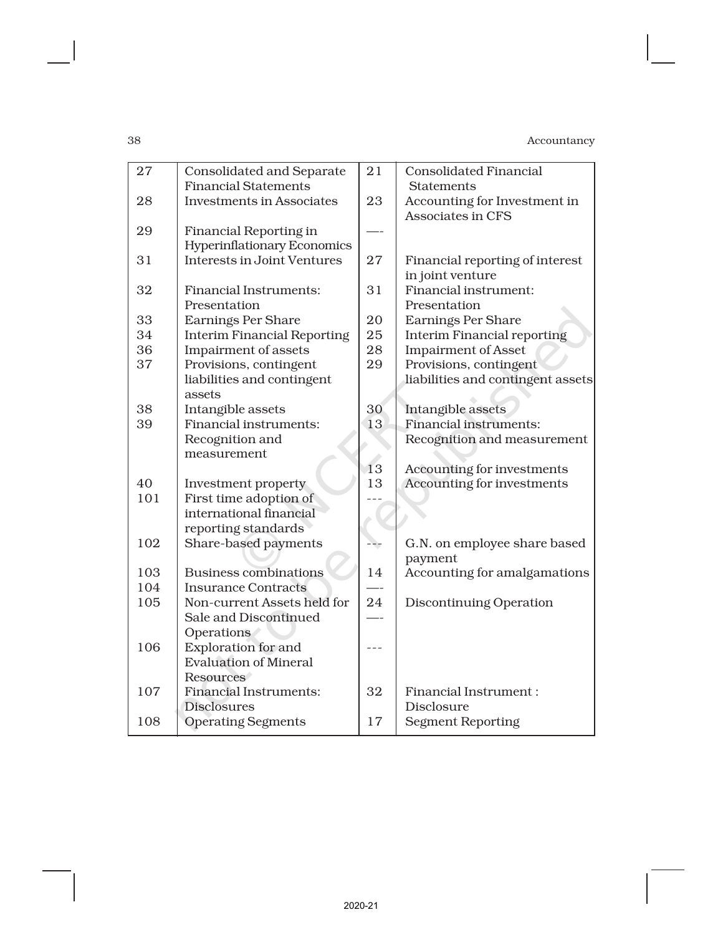| 27  | <b>Consolidated and Separate</b>   | 21  | <b>Consolidated Financial</b>      |
|-----|------------------------------------|-----|------------------------------------|
|     | <b>Financial Statements</b>        |     | <b>Statements</b>                  |
| 28  | <b>Investments in Associates</b>   | 23  | Accounting for Investment in       |
|     |                                    |     | <b>Associates in CFS</b>           |
| 29  | <b>Financial Reporting in</b>      |     |                                    |
|     | <b>Hyperinflationary Economics</b> |     |                                    |
| 31  | <b>Interests in Joint Ventures</b> | 27  | Financial reporting of interest    |
|     |                                    |     | in joint venture                   |
| 32  | <b>Financial Instruments:</b>      | 31  | Financial instrument:              |
|     | Presentation                       |     | Presentation                       |
| 33  | <b>Earnings Per Share</b>          | 20  | <b>Earnings Per Share</b>          |
| 34  | <b>Interim Financial Reporting</b> | 25  | <b>Interim Financial reporting</b> |
| 36  | Impairment of assets               | 28  | <b>Impairment of Asset</b>         |
| 37  | Provisions, contingent             | 29  | Provisions, contingent             |
|     | liabilities and contingent         |     | liabilities and contingent assets  |
|     | assets                             |     |                                    |
| 38  | Intangible assets                  | 30  | Intangible assets                  |
| 39  | Financial instruments:             | 13  | <b>Financial instruments:</b>      |
|     | Recognition and                    |     | Recognition and measurement        |
|     | measurement                        |     |                                    |
|     |                                    | 13  | Accounting for investments         |
| 40  | Investment property                | 13  | Accounting for investments         |
| 101 | First time adoption of             |     |                                    |
|     | international financial            |     |                                    |
|     | reporting standards                |     |                                    |
| 102 | Share-based payments               | --- | G.N. on employee share based       |
|     |                                    |     | payment                            |
| 103 | <b>Business combinations</b>       | 14  | Accounting for amalgamations       |
| 104 | <b>Insurance Contracts</b>         |     |                                    |
| 105 | Non-current Assets held for        | 24  | Discontinuing Operation            |
|     | Sale and Discontinued              |     |                                    |
|     | Operations                         |     |                                    |
| 106 | <b>Exploration for and</b>         |     |                                    |
|     | <b>Evaluation of Mineral</b>       |     |                                    |
|     | <b>Resources</b>                   |     |                                    |
| 107 | <b>Financial Instruments:</b>      | 32  | <b>Financial Instrument:</b>       |
|     | <b>Disclosures</b>                 |     | Disclosure                         |
| 108 | <b>Operating Segments</b>          | 17  | <b>Segment Reporting</b>           |
|     |                                    |     |                                    |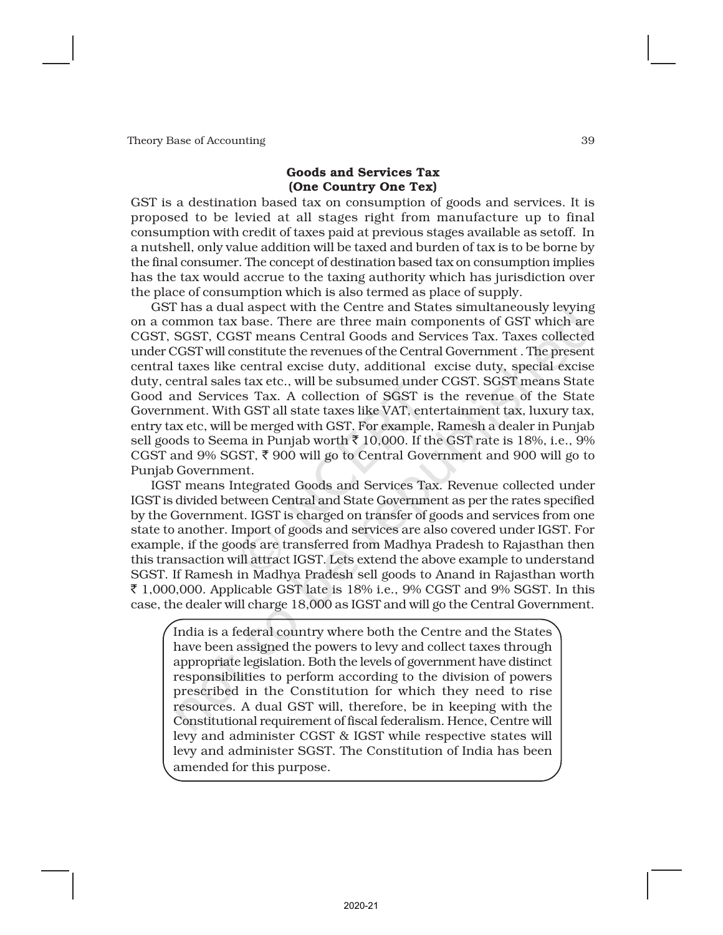#### Goods and Services Tax (One Country One Tex)

GST is a destination based tax on consumption of goods and services. It is proposed to be levied at all stages right from manufacture up to final consumption with credit of taxes paid at previous stages available as setoff. In a nutshell, only value addition will be taxed and burden of tax is to be borne by the final consumer. The concept of destination based tax on consumption implies has the tax would accrue to the taxing authority which has jurisdiction over the place of consumption which is also termed as place of supply.

GST has a dual aspect with the Centre and States simultaneously levying on a common tax base. There are three main components of GST which are CGST, SGST, CGST means Central Goods and Services Tax. Taxes collected under CGST will constitute the revenues of the Central Government . The present central taxes like central excise duty, additional excise duty, special excise duty, central sales tax etc., will be subsumed under CGST. SGST means State Good and Services Tax. A collection of SGST is the revenue of the State Government. With GST all state taxes like VAT, entertainment tax, luxury tax, entry tax etc, will be merged with GST. For example, Ramesh a dealer in Punjab sell goods to Seema in Punjab worth  $\bar{\tau}$  10,000. If the GST rate is 18%, i.e., 9% CGST and 9% SGST,  $\bar{\xi}$  900 will go to Central Government and 900 will go to Punjab Government.

IGST means Integrated Goods and Services Tax. Revenue collected under IGST is divided between Central and State Government as per the rates specified by the Government. IGST is charged on transfer of goods and services from one state to another. Import of goods and services are also covered under IGST. For example, if the goods are transferred from Madhya Pradesh to Rajasthan then this transaction will attract IGST. Lets extend the above example to understand SGST. If Ramesh in Madhya Pradesh sell goods to Anand in Rajasthan worth  $\bar{\xi}$  1,000,000. Applicable GST late is 18% i.e., 9% CGST and 9% SGST. In this case, the dealer will charge 18,000 as IGST and will go the Central Government.

India is a federal country where both the Centre and the States have been assigned the powers to levy and collect taxes through appropriate legislation. Both the levels of government have distinct responsibilities to perform according to the division of powers prescribed in the Constitution for which they need to rise resources. A dual GST will, therefore, be in keeping with the Constitutional requirement of fiscal federalism. Hence, Centre will levy and administer CGST & IGST while respective states will levy and administer SGST. The Constitution of India has been amended for this purpose.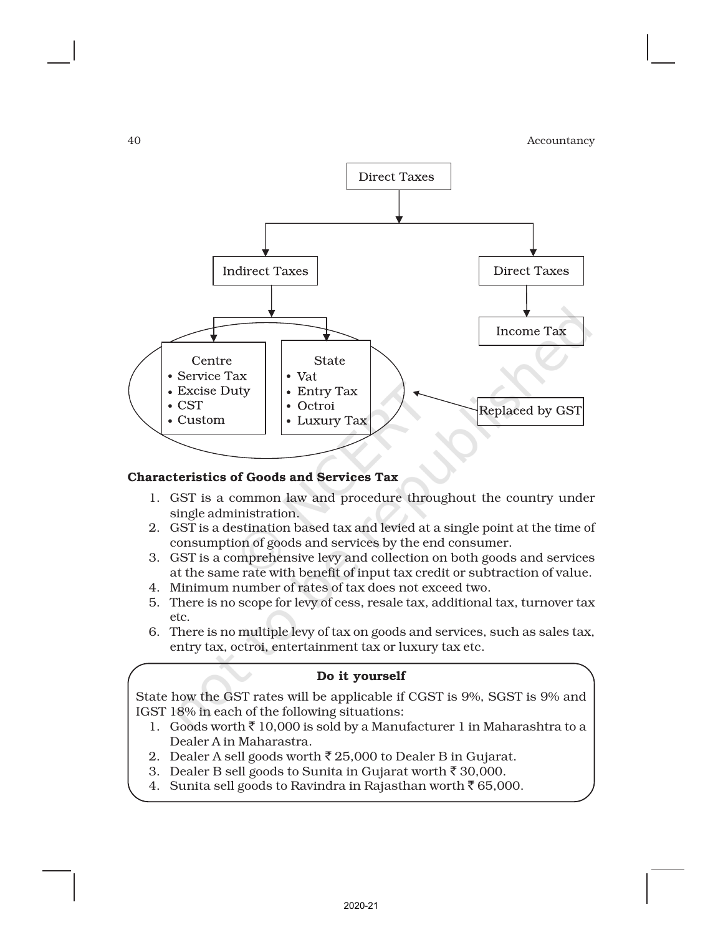

## Characteristics of Goods and Services Tax

- 1. GST is a common law and procedure throughout the country under single administration.
- 2. GST is a destination based tax and levied at a single point at the time of consumption of goods and services by the end consumer.
- 3. GST is a comprehensive levy and collection on both goods and services at the same rate with benefit of input tax credit or subtraction of value.
- 4. Minimum number of rates of tax does not exceed two.
- 5. There is no scope for levy of cess, resale tax, additional tax, turnover tax etc.
- 6. There is no multiple levy of tax on goods and services, such as sales tax, entry tax, octroi, entertainment tax or luxury tax etc.

#### Do it yourself

State how the GST rates will be applicable if CGST is 9%, SGST is 9% and IGST 18% in each of the following situations:

- 1. Goods worth  $\bar{z}$  10,000 is sold by a Manufacturer 1 in Maharashtra to a Dealer A in Maharastra.
- 2. Dealer A sell goods worth  $\bar{\tau}$  25,000 to Dealer B in Gujarat.
- 3. Dealer B sell goods to Sunita in Gujarat worth  $\bar{z}$  30,000.
- 4. Sunita sell goods to Ravindra in Rajasthan worth  $\bar{\tau}$  65,000.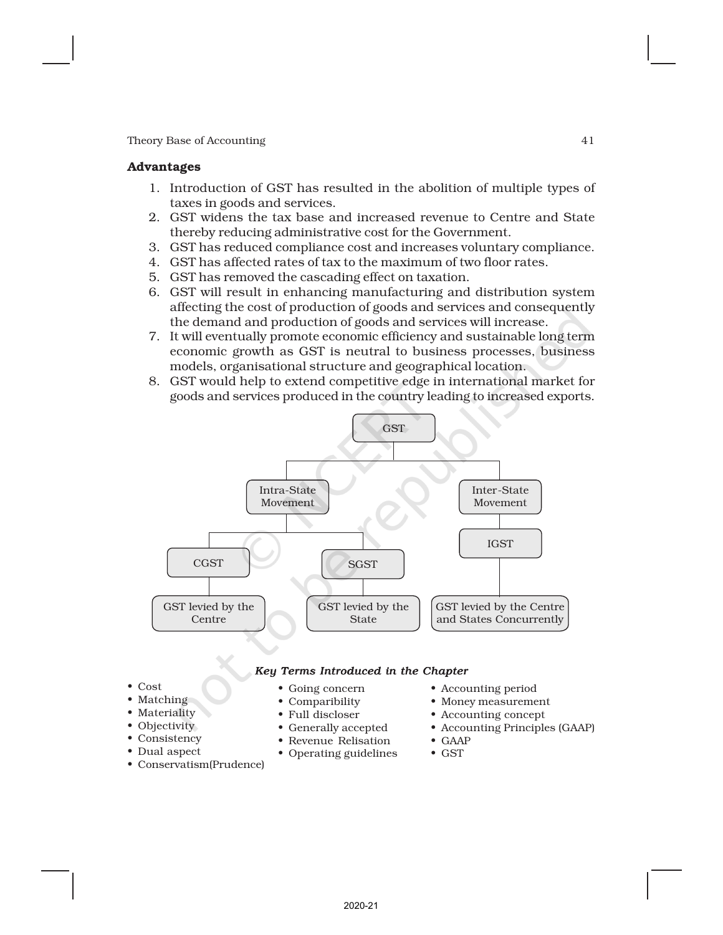#### Advantages

- 1. Introduction of GST has resulted in the abolition of multiple types of taxes in goods and services.
- 2. GST widens the tax base and increased revenue to Centre and State thereby reducing administrative cost for the Government.
- 3. GST has reduced compliance cost and increases voluntary compliance.
- 4. GST has affected rates of tax to the maximum of two floor rates.
- 5. GST has removed the cascading effect on taxation.
- 6. GST will result in enhancing manufacturing and distribution system affecting the cost of production of goods and services and consequently the demand and production of goods and services will increase.
- 7. It will eventually promote economic efficiency and sustainable long term economic growth as GST is neutral to business processes, business models, organisational structure and geographical location.
- 8. GST would help to extend competitive edge in international market for goods and services produced in the country leading to increased exports.



#### *Key Terms Introduced in the Chapter*

• Going concern • Comparibility • Full discloser • Generally accepted • Revenue Relisation • Operating guidelines

- Cost
- Matching
- Materiality
- Objectivity
- Consistency
- Dual aspect
- Conservatism(Prudence)
- Accounting period
- Money measurement
- Accounting concept
- Accounting Principles (GAAP)
- GAAP
- GST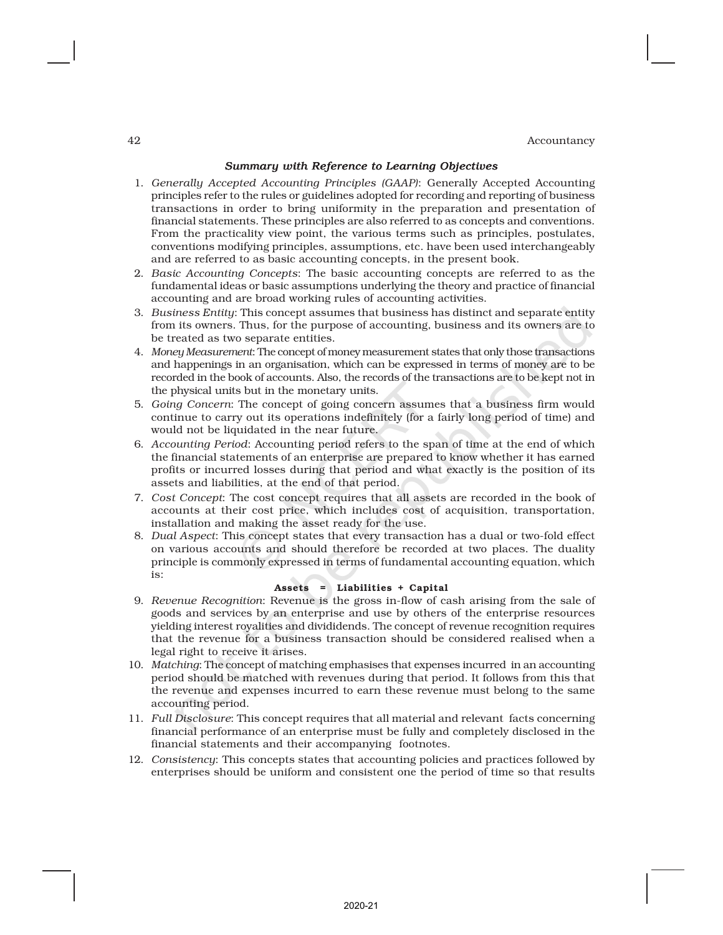#### *Summary with Reference to Learning Objectives*

- 1. *Generally Accepted Accounting Principles (GAAP)*: Generally Accepted Accounting principles refer to the rules or guidelines adopted for recording and reporting of business transactions in order to bring uniformity in the preparation and presentation of financial statements. These principles are also referred to as concepts and conventions. From the practicality view point, the various terms such as principles, postulates, conventions modifying principles, assumptions, etc. have been used interchangeably and are referred to as basic accounting concepts, in the present book.
- 2. *Basic Accounting Concepts*: The basic accounting concepts are referred to as the fundamental ideas or basic assumptions underlying the theory and practice of financial accounting and are broad working rules of accounting activities.
- 3. *Business Entity*: This concept assumes that business has distinct and separate entity from its owners. Thus, for the purpose of accounting, business and its owners are to be treated as two separate entities.
- 4. *Money Measurement*: The concept of money measurement states that only those transactions and happenings in an organisation, which can be expressed in terms of money are to be recorded in the book of accounts. Also, the records of the transactions are to be kept not in the physical units but in the monetary units.
- 5. *Going Concern*: The concept of going concern assumes that a business firm would continue to carry out its operations indefinitely (for a fairly long period of time) and would not be liquidated in the near future.
- 6. *Accounting Period*: Accounting period refers to the span of time at the end of which the financial statements of an enterprise are prepared to know whether it has earned profits or incurred losses during that period and what exactly is the position of its assets and liabilities, at the end of that period.
- 7. *Cost Concept*: The cost concept requires that all assets are recorded in the book of accounts at their cost price, which includes cost of acquisition, transportation, installation and making the asset ready for the use.
- 8. *Dual Aspect*: This concept states that every transaction has a dual or two-fold effect on various accounts and should therefore be recorded at two places. The duality principle is commonly expressed in terms of fundamental accounting equation, which is:

#### Assets = Liabilities + Capital

- 9. *Revenue Recognition*: Revenue is the gross in-flow of cash arising from the sale of goods and services by an enterprise and use by others of the enterprise resources yielding interest royalities and divididends. The concept of revenue recognition requires that the revenue for a business transaction should be considered realised when a legal right to receive it arises.
- 10. *Matching*: The concept of matching emphasises that expenses incurred in an accounting period should be matched with revenues during that period. It follows from this that the revenue and expenses incurred to earn these revenue must belong to the same accounting period.
- 11. *Full Disclosure*: This concept requires that all material and relevant facts concerning financial performance of an enterprise must be fully and completely disclosed in the financial statements and their accompanying footnotes.
- 12. *Consistency*: This concepts states that accounting policies and practices followed by enterprises should be uniform and consistent one the period of time so that results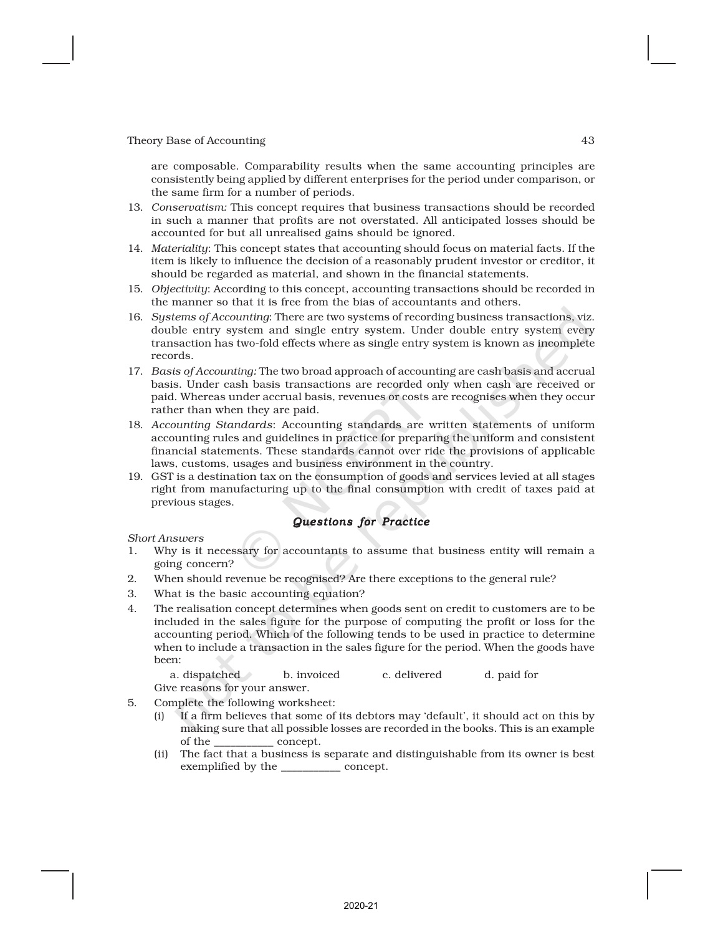are composable. Comparability results when the same accounting principles are consistently being applied by different enterprises for the period under comparison, or the same firm for a number of periods.

- 13. *Conservatism:* This concept requires that business transactions should be recorded in such a manner that profits are not overstated. All anticipated losses should be accounted for but all unrealised gains should be ignored.
- 14. *Materiality*: This concept states that accounting should focus on material facts. If the item is likely to influence the decision of a reasonably prudent investor or creditor, it should be regarded as material, and shown in the financial statements.
- 15. *Objectivity*: According to this concept, accounting transactions should be recorded in the manner so that it is free from the bias of accountants and others.
- 16. *Systems of Accounting*: There are two systems of recording business transactions, viz. double entry system and single entry system. Under double entry system every transaction has two-fold effects where as single entry system is known as incomplete records.
- 17. *Basis of Accounting:* The two broad approach of accounting are cash basis and accrual basis. Under cash basis transactions are recorded only when cash are received or paid. Whereas under accrual basis, revenues or costs are recognises when they occur rather than when they are paid.
- 18. *Accounting Standards*: Accounting standards are written statements of uniform accounting rules and guidelines in practice for preparing the uniform and consistent financial statements. These standards cannot over ride the provisions of applicable laws, customs, usages and business environment in the country.
- 19. GST is a destination tax on the consumption of goods and services levied at all stages right from manufacturing up to the final consumption with credit of taxes paid at previous stages.

#### *Questions for Practice*

*Short Answers*

- 1. Why is it necessary for accountants to assume that business entity will remain a going concern?
- 2. When should revenue be recognised? Are there exceptions to the general rule?
- 3. What is the basic accounting equation?
- 4. The realisation concept determines when goods sent on credit to customers are to be included in the sales figure for the purpose of computing the profit or loss for the accounting period. Which of the following tends to be used in practice to determine when to include a transaction in the sales figure for the period. When the goods have been:

a. dispatched b. invoiced c. delivered d. paid for Give reasons for your answer.

- 5. Complete the following worksheet:
	- (i) If a firm believes that some of its debtors may 'default', it should act on this by making sure that all possible losses are recorded in the books. This is an example of the \_\_\_\_\_\_\_\_\_\_\_ concept.
	- (ii) The fact that a business is separate and distinguishable from its owner is best exemplified by the \_\_\_\_\_\_\_\_\_\_\_ concept.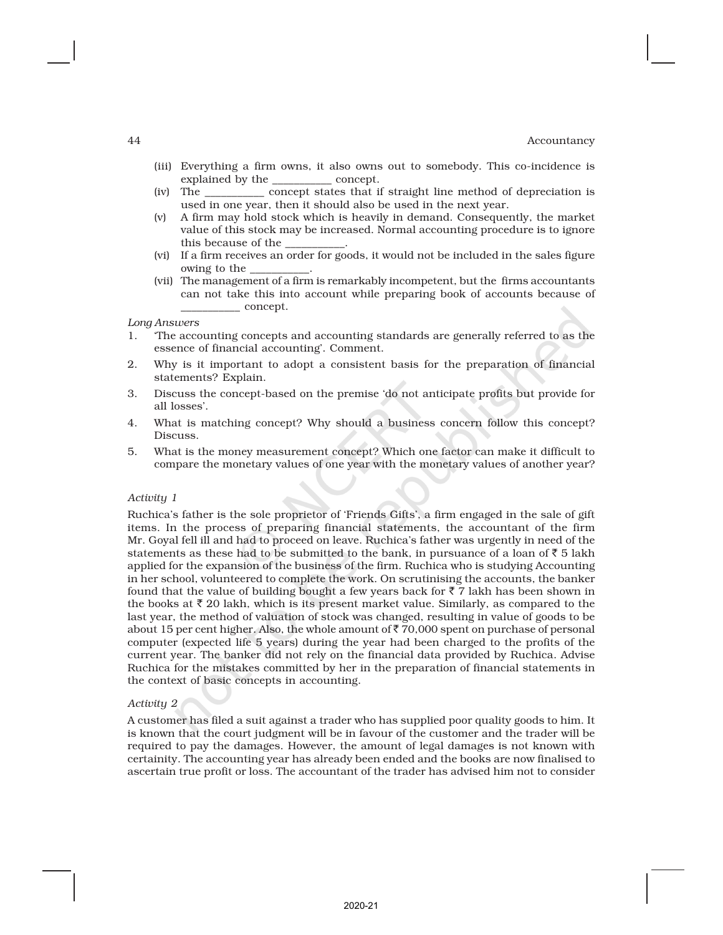- (iii) Everything a firm owns, it also owns out to somebody. This co-incidence is explained by the \_\_\_\_\_\_\_\_\_\_\_ concept.
- (iv) The \_\_\_\_\_\_\_\_\_\_\_ concept states that if straight line method of depreciation is used in one year, then it should also be used in the next year.
- (v) A firm may hold stock which is heavily in demand. Consequently, the market value of this stock may be increased. Normal accounting procedure is to ignore this because of the
- (vi) If a firm receives an order for goods, it would not be included in the sales figure owing to the
- (vii) The management of a firm is remarkably incompetent, but the firms accountants can not take this into account while preparing book of accounts because of \_\_\_\_\_\_\_\_\_\_\_ concept.

*Long Answers*

- 1. 'The accounting concepts and accounting standards are generally referred to as the essence of financial accounting'. Comment.
- 2. Why is it important to adopt a consistent basis for the preparation of financial statements? Explain.
- 3. Discuss the concept-based on the premise 'do not anticipate profits but provide for all losses'.
- 4. What is matching concept? Why should a business concern follow this concept? Discuss.
- 5. What is the money measurement concept? Which one factor can make it difficult to compare the monetary values of one year with the monetary values of another year?

#### *Activity 1*

Ruchica's father is the sole proprietor of 'Friends Gifts', a firm engaged in the sale of gift items. In the process of preparing financial statements, the accountant of the firm Mr. Goyal fell ill and had to proceed on leave. Ruchica's father was urgently in need of the statements as these had to be submitted to the bank, in pursuance of a loan of  $\bar{z}$  5 lakh applied for the expansion of the business of the firm. Ruchica who is studying Accounting in her school, volunteered to complete the work. On scrutinising the accounts, the banker found that the value of building bought a few years back for  $\bar{z}$  7 lakh has been shown in the books at  $\bar{\tau}$  20 lakh, which is its present market value. Similarly, as compared to the last year, the method of valuation of stock was changed, resulting in value of goods to be about 15 per cent higher. Also, the whole amount of  $\bar{z}$  70,000 spent on purchase of personal computer (expected life 5 years) during the year had been charged to the profits of the current year. The banker did not rely on the financial data provided by Ruchica. Advise Ruchica for the mistakes committed by her in the preparation of financial statements in the context of basic concepts in accounting.

#### *Activity 2*

A customer has filed a suit against a trader who has supplied poor quality goods to him. It is known that the court judgment will be in favour of the customer and the trader will be required to pay the damages. However, the amount of legal damages is not known with certainity. The accounting year has already been ended and the books are now finalised to ascertain true profit or loss. The accountant of the trader has advised him not to consider